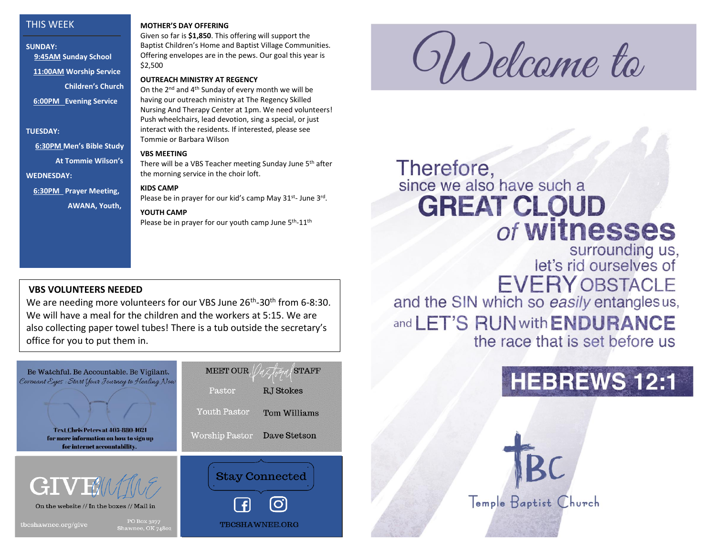## THIS WEEK

**SUNDAY: 9:45AM Sunday School 11:00AM Worship Service Children's Church 6:00PM Evening Service**

**TUESDAY:**

 **6:30PM Men's Bible Study** 

 **At Tommie Wilson's**

**WEDNESDAY:**

**6:30PM Prayer Meeting,**

**AWANA, Youth,** 

#### **MOTHER'S DAY OFFERING**

Given so far is **\$1,850**. This offering will support the Baptist Children's Home and Baptist Village Communities. Offering envelopes are in the pews. Our goal this year is \$2,500

### **OUTREACH MINISTRY AT REGENCY**

On the 2nd and 4th Sunday of every month we will be having our outreach ministry at The Regency Skilled Nursing And Therapy Center at 1pm. We need volunteers! Push wheelchairs, lead devotion, sing a special, or just interact with the residents. If interested, please see Tommie or Barbara Wilson

#### **VBS MEETING**

There will be a VBS Teacher meeting Sunday June 5th after the morning service in the choir loft.

### **KIDS CAMP**

Please be in prayer for our kid's camp May 31st- June 3rd.

### **YOUTH CAMP**

Please be in prayer for our youth camp June 5<sup>th</sup>-11<sup>th</sup>

## **VBS VOLUNTEERS NEEDED**

We are needing more volunteers for our VBS June 26<sup>th</sup>-30<sup>th</sup> from 6-8:30. We will have a meal for the children and the workers at 5:15. We are also collecting paper towel tubes! There is a tub outside the secretary's office for you to put them in.



ODelcame ta

# Therefore,<br>since we also have such a **GREAT CLOUD** of witnesses

surrounding us,<br>let's rid ourselves of **EVERY OBSTACLE** and the SIN which so easily entanglesus,

and LET'S RUN with ENDURANCE the race that is set before us

Temple Baptist Church

# **HEBREWS 12:1**